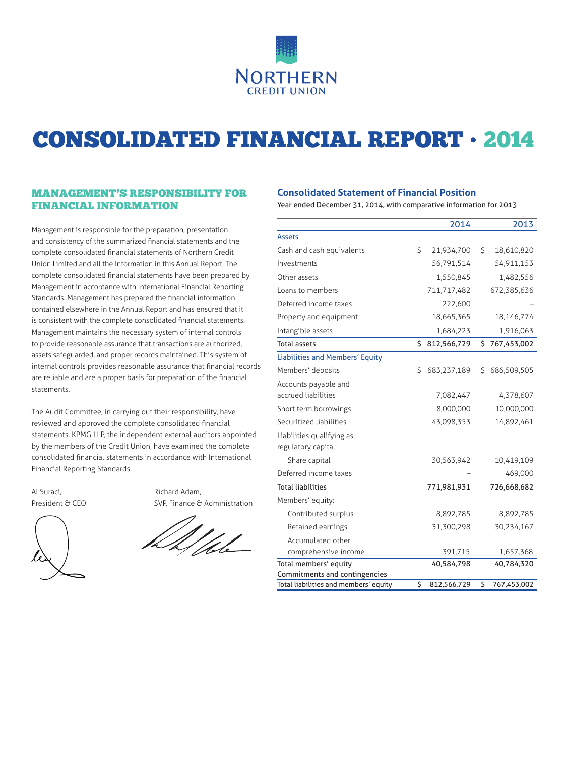

# CONSOLIDATED FINANCIAL REPORT • 2014

# MANAGEMENT'S RESPONSIBILITY FOR FINANCIAL INFORMATION

Management is responsible for the preparation, presentation and consistency of the summarized financial statements and the complete consolidated financial statements of Northern Credit Union Limited and all the information in this Annual Report. The complete consolidated financial statements have been prepared by Management in accordance with International Financial Reporting Standards. Management has prepared the financial information contained elsewhere in the Annual Report and has ensured that it is consistent with the complete consolidated financial statements. Management maintains the necessary system of internal controls to provide reasonable assurance that transactions are authorized, assets safeguarded, and proper records maintained. This system of internal controls provides reasonable assurance that financial records are reliable and are a proper basis for preparation of the financial statements.

The Audit Committee, in carrying out their responsibility, have reviewed and approved the complete consolidated financial statements. KPMG LLP, the independent external auditors appointed by the members of the Credit Union, have examined the complete consolidated financial statements in accordance with International Financial Reporting Standards.

AI Suraci, and a suracididate and a Richard Adam,

President & CEO SVP, Finance & Administration

### **Consolidated Statement of Financial Position**

Year ended December 31, 2014, with comparative information for 2013

|                                                  |    | 2014        |    | 2013        |
|--------------------------------------------------|----|-------------|----|-------------|
| Assets                                           |    |             |    |             |
| Cash and cash equivalents                        | \$ | 21,934,700  | \$ | 18,610,820  |
| Investments                                      |    | 56,791,514  |    | 54,911,153  |
| Other assets                                     |    | 1,550,845   |    | 1,482,556   |
| Loans to members                                 |    | 711,717,482 |    | 672,385,636 |
| Deferred income taxes                            |    | 222,600     |    |             |
| Property and equipment                           |    | 18,665,365  |    | 18,146,774  |
| Intangible assets                                |    | 1,684,223   |    | 1,916,063   |
| <b>Total assets</b>                              | \$ | 812,566,729 | \$ | 767,453,002 |
| <b>Liabilities and Members' Equity</b>           |    |             |    |             |
| Members' deposits                                | Ś  | 683,237,189 | S  | 686,509,505 |
| Accounts payable and                             |    |             |    |             |
| accrued liabilities                              |    | 7,082,447   |    | 4,378,607   |
| Short term borrowings                            |    | 8,000,000   |    | 10,000,000  |
| Securitized liabilities                          |    | 43,098,353  |    | 14,892,461  |
| Liabilities qualifying as<br>regulatory capital: |    |             |    |             |
| Share capital                                    |    | 30,563,942  |    | 10,419,109  |
| Deferred income taxes                            |    |             |    | 469,000     |
| <b>Total liabilities</b>                         |    | 771,981,931 |    | 726,668,682 |
| Members' equity:                                 |    |             |    |             |
| Contributed surplus                              |    | 8,892,785   |    | 8,892,785   |
| Retained earnings                                |    | 31,300,298  |    | 30,234,167  |
| Accumulated other                                |    |             |    |             |
| comprehensive income                             |    | 391,715     |    | 1,657,368   |
| Total members' equity                            |    | 40,584,798  |    | 40,784,320  |
| Commitments and contingencies                    |    |             |    |             |
| Total liabilities and members' equity            | \$ | 812,566,729 | \$ | 767,453,002 |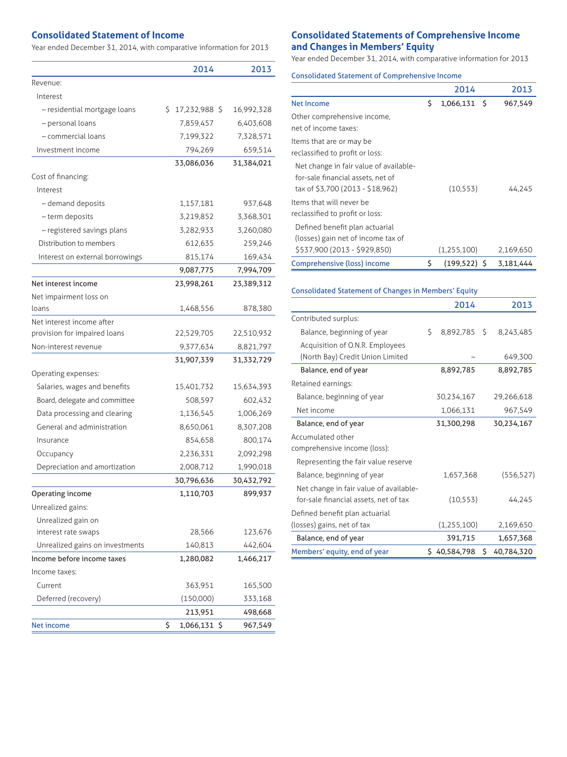### **Consolidated Statement of Income**

Year ended December 31, 2014, with comparative information for 2013

|                                 | 2014               | 2013       |
|---------------------------------|--------------------|------------|
| Revenue:                        |                    |            |
| Interest                        |                    |            |
| - residential mortgage loans    | \$17,232,988       | 16,992,328 |
| - personal loans                | 7,859,457          | 6,403,608  |
| - commercial loans              | 7,199,322          | 7,328,571  |
| Investment income               | 794,269            | 659,514    |
|                                 | 33,086,036         | 31,384,021 |
| Cost of financing:              |                    |            |
| Interest                        |                    |            |
| - demand deposits               | 1,157,181          | 937,648    |
| - term deposits                 | 3,219,852          | 3,368,301  |
| - registered savings plans      | 3,282,933          | 3,260,080  |
| Distribution to members         | 612,635            | 259,246    |
| Interest on external borrowings | 815,174            | 169,434    |
|                                 | 9,087,775          | 7,994,709  |
| Net interest income             | 23,998,261         | 23,389,312 |
| Net impairment loss on          |                    |            |
| loans                           | 1,468,556          | 878,380    |
| Net interest income after       |                    |            |
| provision for impaired loans    | 22,529,705         | 22,510,932 |
| Non-interest revenue            | 9,377,634          | 8,821,797  |
|                                 | 31,907,339         | 31,332,729 |
| Operating expenses:             |                    |            |
| Salaries, wages and benefits    | 15,401,732         | 15,634,393 |
| Board, delegate and committee   | 508,597            | 602,432    |
| Data processing and clearing    | 1,136,545          | 1,006,269  |
| General and administration      | 8,650,061          | 8,307,208  |
| Insurance                       | 854,658            | 800,174    |
| Occupancy                       | 2,236,331          | 2,092,298  |
| Depreciation and amortization   | 2,008,712          | 1,990,018  |
|                                 | 30,796,636         | 30,432,792 |
| Operating income                | 1,110,703          | 899,937    |
| Unrealized gains:               |                    |            |
| Unrealized gain on              |                    |            |
| interest rate swaps             | 28,566             | 123,676    |
| Unrealized gains on investments | 140,813            | 442,604    |
| Income before income taxes      | 1,280,082          | 1,466,217  |
| Income taxes:                   |                    |            |
| Current                         | 363,951            | 165,500    |
| Deferred (recovery)             | (150,000)          | 333,168    |
|                                 | 213,951            | 498,668    |
| Net income                      | \$<br>1,066,131 \$ | 967,549    |

# **Consolidated Statements of Comprehensive Income and Changes in Members' Equity**

Year ended December 31, 2014, with comparative information for 2013

|  |  |  | <b>Consolidated Statement of Comprehensive Income</b> |  |
|--|--|--|-------------------------------------------------------|--|
|--|--|--|-------------------------------------------------------|--|

|                                                                                                                 |    | 2014           | 2013      |
|-----------------------------------------------------------------------------------------------------------------|----|----------------|-----------|
| <b>Net Income</b>                                                                                               | Ś  | $1,066,131$ \$ | 967,549   |
| Other comprehensive income,<br>net of income taxes:                                                             |    |                |           |
| Items that are or may be<br>reclassified to profit or loss:                                                     |    |                |           |
| Net change in fair value of available-<br>for-sale financial assets, net of<br>tax of \$3,700 (2013 - \$18,962) |    | (10, 553)      | 44,245    |
| Items that will never be<br>reclassified to profit or loss:                                                     |    |                |           |
| Defined benefit plan actuarial<br>(losses) gain net of income tax of<br>\$537,900 (2013 - \$929,850)            |    | (1,255,100)    | 2,169,650 |
| Comprehensive (loss) income                                                                                     | \$ | $(199.522)$ \$ | 3.181.444 |

### Consolidated Statement of Changes in Members' Equity

|                                        | 2014               |    | 2013       |
|----------------------------------------|--------------------|----|------------|
| Contributed surplus:                   |                    |    |            |
| Balance, beginning of year             | \$<br>8,892,785 \$ |    | 8,243,485  |
| Acquisition of O.N.R. Employees        |                    |    |            |
| (North Bay) Credit Union Limited       |                    |    | 649,300    |
| Balance, end of year                   | 8,892,785          |    | 8,892,785  |
| Retained earnings:                     |                    |    |            |
| Balance, beginning of year             | 30,234,167         |    | 29,266,618 |
| Net income                             | 1,066,131          |    | 967,549    |
| Balance, end of year                   | 31,300,298         |    | 30,234,167 |
| Accumulated other                      |                    |    |            |
| comprehensive income (loss):           |                    |    |            |
| Representing the fair value reserve    |                    |    |            |
| Balance, beginning of year             | 1,657,368          |    | (556, 527) |
| Net change in fair value of available- |                    |    |            |
| for-sale financial assets, net of tax  | (10, 553)          |    | 44,245     |
| Defined benefit plan actuarial         |                    |    |            |
| (losses) gains, net of tax             | (1,255,100)        |    | 2,169,650  |
| Balance, end of year                   | 391,715            |    | 1,657,368  |
| Members' equity, end of year           | \$40,584,798       | Ś. | 40,784,320 |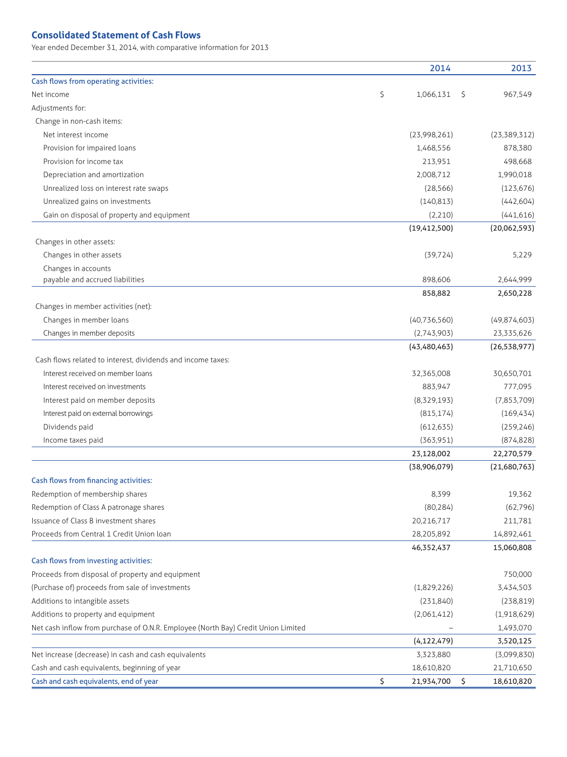## **Consolidated Statement of Cash Flows**

Year ended December 31, 2014, with comparative information for 2013

|                                                                                   | 2014             | 2013             |
|-----------------------------------------------------------------------------------|------------------|------------------|
| Cash flows from operating activities:                                             |                  |                  |
| Net income                                                                        | \$<br>1,066,131  | \$<br>967,549    |
| Adjustments for:                                                                  |                  |                  |
| Change in non-cash items:                                                         |                  |                  |
| Net interest income                                                               | (23,998,261)     | (23, 389, 312)   |
| Provision for impaired loans                                                      | 1,468,556        | 878,380          |
| Provision for income tax                                                          | 213,951          | 498,668          |
| Depreciation and amortization                                                     | 2,008,712        | 1,990,018        |
| Unrealized loss on interest rate swaps                                            | (28, 566)        | (123, 676)       |
| Unrealized gains on investments                                                   | (140, 813)       | (442, 604)       |
| Gain on disposal of property and equipment                                        | (2,210)          | (441, 616)       |
|                                                                                   | (19, 412, 500)   | (20,062,593)     |
| Changes in other assets:                                                          |                  |                  |
| Changes in other assets                                                           | (39, 724)        | 5,229            |
| Changes in accounts                                                               |                  |                  |
| payable and accrued liabilities                                                   | 898,606          | 2,644,999        |
|                                                                                   | 858,882          | 2,650,228        |
| Changes in member activities (net):                                               |                  |                  |
| Changes in member loans                                                           | (40, 736, 560)   | (49,874,603)     |
| Changes in member deposits                                                        | (2,743,903)      | 23,335,626       |
|                                                                                   | (43, 480, 463)   | (26, 538, 977)   |
| Cash flows related to interest, dividends and income taxes:                       |                  |                  |
| Interest received on member loans                                                 | 32,365,008       | 30,650,701       |
| Interest received on investments                                                  | 883,947          | 777,095          |
| Interest paid on member deposits                                                  | (8,329,193)      | (7,853,709)      |
| Interest paid on external borrowings                                              | (815, 174)       | (169, 434)       |
| Dividends paid                                                                    | (612, 635)       | (259, 246)       |
| Income taxes paid                                                                 | (363,951)        | (874, 828)       |
|                                                                                   | 23,128,002       | 22,270,579       |
|                                                                                   | (38,906,079)     | (21,680,763)     |
| Cash flows from financing activities:                                             |                  |                  |
| Redemption of membership shares                                                   | 8,399            | 19,362           |
| Redemption of Class A patronage shares                                            | (80, 284)        | (62, 796)        |
| Issuance of Class B investment shares                                             | 20,216,717       | 211,781          |
| Proceeds from Central 1 Credit Union loan                                         | 28,205,892       | 14,892,461       |
|                                                                                   | 46,352,437       | 15,060,808       |
| Cash flows from investing activities:                                             |                  |                  |
| Proceeds from disposal of property and equipment                                  |                  | 750,000          |
| (Purchase of) proceeds from sale of investments                                   | (1,829,226)      | 3,434,503        |
| Additions to intangible assets                                                    | (231, 840)       | (238, 819)       |
| Additions to property and equipment                                               | (2,061,412)      | (1,918,629)      |
| Net cash inflow from purchase of O.N.R. Employee (North Bay) Credit Union Limited |                  | 1,493,070        |
|                                                                                   | (4, 122, 479)    | 3,520,125        |
| Net increase (decrease) in cash and cash equivalents                              | 3,323,880        | (3,099,830)      |
| Cash and cash equivalents, beginning of year                                      | 18,610,820       | 21,710,650       |
| Cash and cash equivalents, end of year                                            | \$<br>21,934,700 | \$<br>18,610,820 |